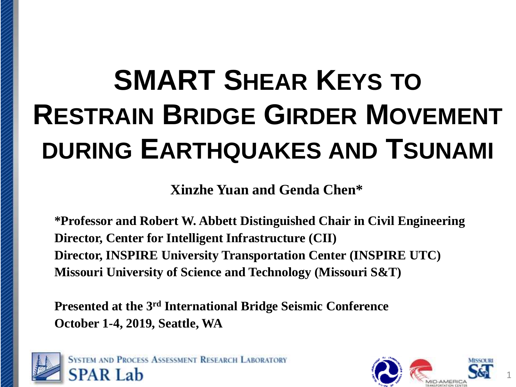# **SMART SHEAR KEYS TO RESTRAIN BRIDGE GIRDER MOVEMENT DURING EARTHQUAKES AND TSUNAMI**

**Xinzhe Yuan and Genda Chen\***

**\*Professor and Robert W. Abbett Distinguished Chair in Civil Engineering Director, Center for Intelligent Infrastructure (CII) Director, INSPIRE University Transportation Center (INSPIRE UTC) Missouri University of Science and Technology (Missouri S&T)**

**Presented at the 3rd International Bridge Seismic Conference October 1-4, 2019, Seattle, WA**



**SYSTEM AND PROCESS ASSESSMENT RESEARCH LABORATORY SPAR Lab** 

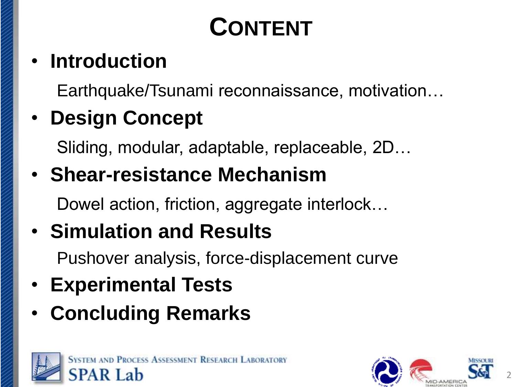# **CONTENT**

## • **Introduction**

Earthquake/Tsunami reconnaissance, motivation…

## • **Design Concept**

Sliding, modular, adaptable, replaceable, 2D…

• **Shear-resistance Mechanism**

Dowel action, friction, aggregate interlock…

## • **Simulation and Results**

Pushover analysis, force-displacement curve

- **Experimental Tests**
- **Concluding Remarks**



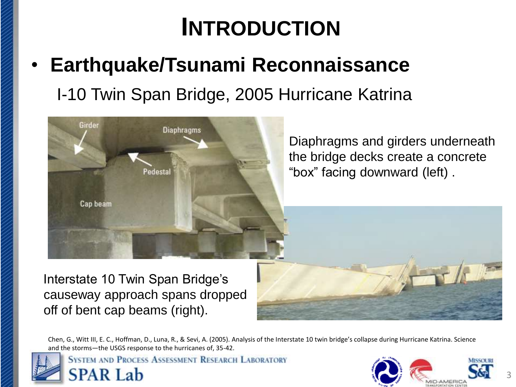# **INTRODUCTION**

### • **Earthquake/Tsunami Reconnaissance** I-10 Twin Span Bridge, 2005 Hurricane Katrina



Interstate 10 Twin Span Bridge's causeway approach spans dropped off of bent cap beams (right).

Chen, G., Witt III, E. C., Hoffman, D., Luna, R., & Sevi, A. (2005). Analysis of the Interstate 10 twin bridge's collapse during Hurricane Katrina. Science and the storms—the USGS response to the hurricanes of, 35-42.

**SYSTEM AND PROCESS ASSESSMENT RESEARCH LABORATORY SPAR Lab** 

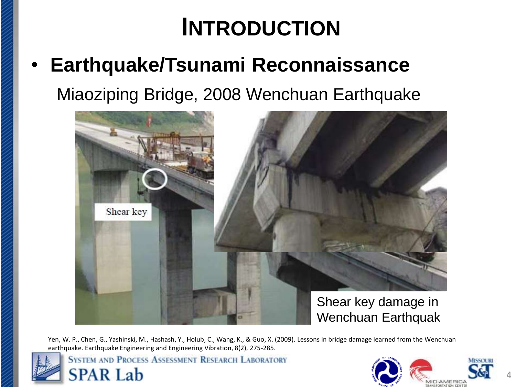# **INTRODUCTION**

• **Earthquake/Tsunami Reconnaissance** Miaoziping Bridge, 2008 Wenchuan Earthquake



Yen, W. P., Chen, G., Yashinski, M., Hashash, Y., Holub, C., Wang, K., & Guo, X. (2009). Lessons in bridge damage learned from the Wenchuan earthquake. Earthquake Engineering and Engineering Vibration, 8(2), 275-285.



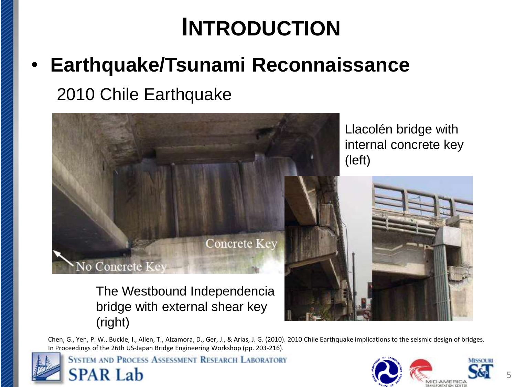# **INTRODUCTION**

• **Earthquake/Tsunami Reconnaissance** 2010 Chile Earthquake



Chen, G., Yen, P. W., Buckle, I., Allen, T., Alzamora, D., Ger, J., & Arias, J. G. (2010). 2010 Chile Earthquake implications to the seismic design of bridges. In Proceedings of the 26th US-Japan Bridge Engineering Workshop (pp. 203-216).

**SYSTEM AND PROCESS ASSESSMENT RESEARCH LABORATORY** 

(right)

**SPAR Lab** 

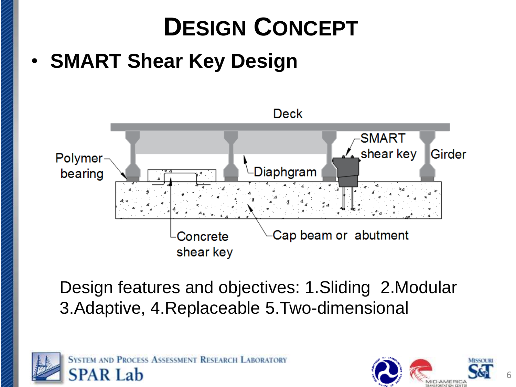

Design features and objectives: 1.Sliding 2.Modular 3.Adaptive, 4.Replaceable 5.Two-dimensional



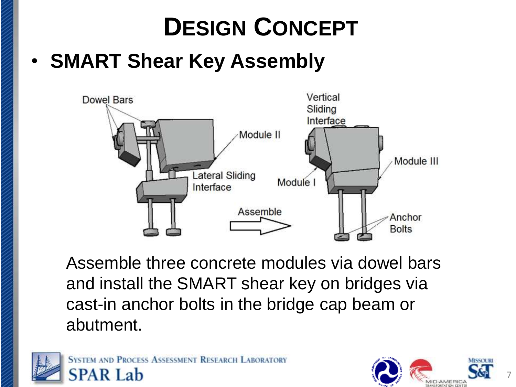# **DESIGN CONCEPT**

### **SMART Shear Key Assembly**



Assemble three concrete modules via dowel bars and install the SMART shear key on bridges via cast-in anchor bolts in the bridge cap beam or abutment.



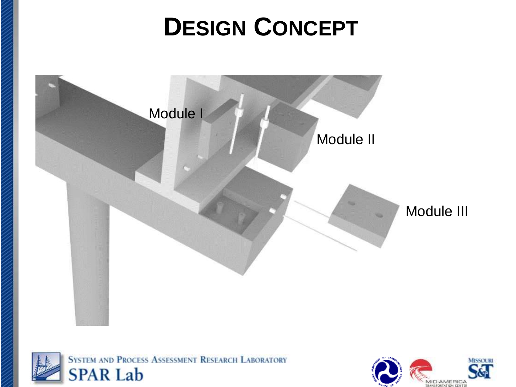# **DESIGN CONCEPT**





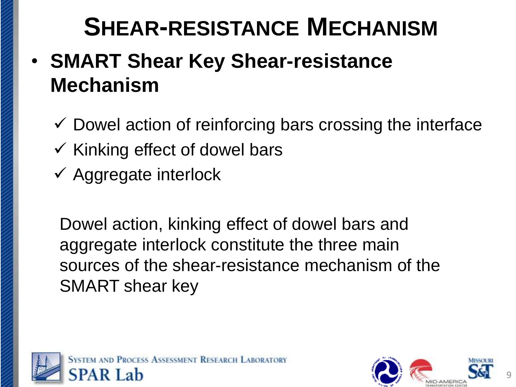### • **SMART Shear Key Shear-resistance Mechanism**

- $\checkmark$  Dowel action of reinforcing bars crossing the interface
- $\checkmark$  Kinking effect of dowel bars
- $\checkmark$  Aggregate interlock

Dowel action, kinking effect of dowel bars and aggregate interlock constitute the three main sources of the shear-resistance mechanism of the SMART shear key

![](_page_8_Picture_6.jpeg)

![](_page_8_Picture_7.jpeg)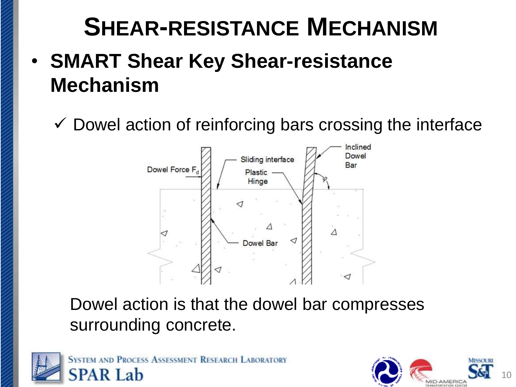### • **SMART Shear Key Shear-resistance Mechanism**

 $\checkmark$  Dowel action of reinforcing bars crossing the interface

![](_page_9_Figure_3.jpeg)

Dowel action is that the dowel bar compresses surrounding concrete.

![](_page_9_Picture_5.jpeg)

![](_page_9_Picture_6.jpeg)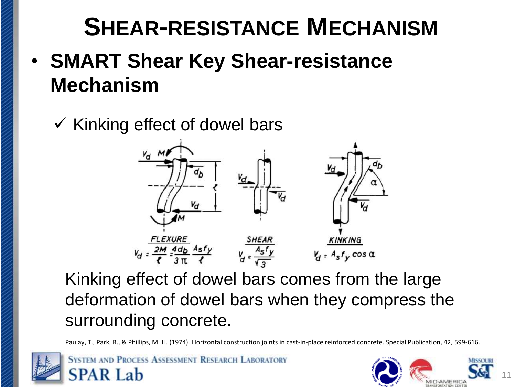- **SMART Shear Key Shear-resistance Mechanism**
	- $\checkmark$  Kinking effect of dowel bars

![](_page_10_Figure_3.jpeg)

Kinking effect of dowel bars comes from the large deformation of dowel bars when they compress the surrounding concrete.

Paulay, T., Park, R., & Phillips, M. H. (1974). Horizontal construction joints in cast-in-place reinforced concrete. Special Publication, 42, 599-616.

![](_page_10_Picture_6.jpeg)

![](_page_10_Picture_7.jpeg)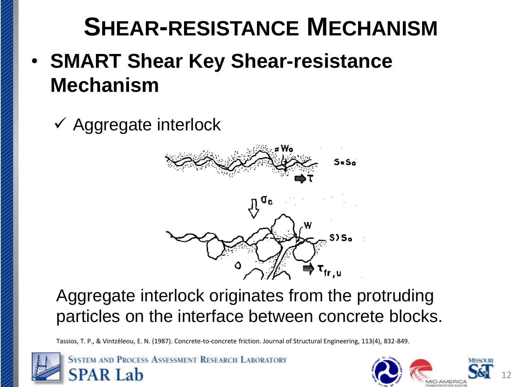- **SMART Shear Key Shear-resistance Mechanism**
	- ✓ Aggregate interlock

![](_page_11_Figure_3.jpeg)

![](_page_11_Figure_4.jpeg)

#### Aggregate interlock originates from the protruding particles on the interface between concrete blocks.

Tassios, T. P., & Vintzēleou, E. N. (1987). Concrete-to-concrete friction. Journal of Structural Engineering, 113(4), 832-849.

![](_page_11_Picture_7.jpeg)

![](_page_11_Picture_8.jpeg)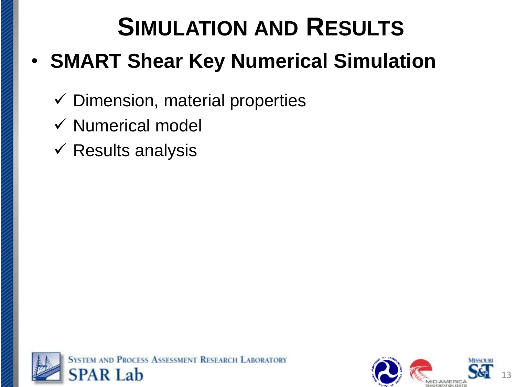# **SIMULATION AND RESULTS**

### • **SMART Shear Key Numerical Simulation**

- $\checkmark$  Dimension, material properties
- ✓ Numerical model
- $\checkmark$  Results analysis

![](_page_12_Picture_5.jpeg)

![](_page_12_Picture_6.jpeg)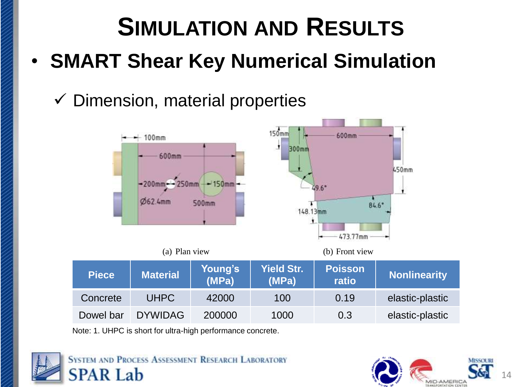# **SIMULATION AND RESULTS** • **SMART Shear Key Numerical Simulation**

### $\checkmark$  Dimension, material properties

![](_page_13_Figure_2.jpeg)

Note: 1. UHPC is short for ultra-high performance concrete.

![](_page_13_Picture_4.jpeg)

![](_page_13_Picture_5.jpeg)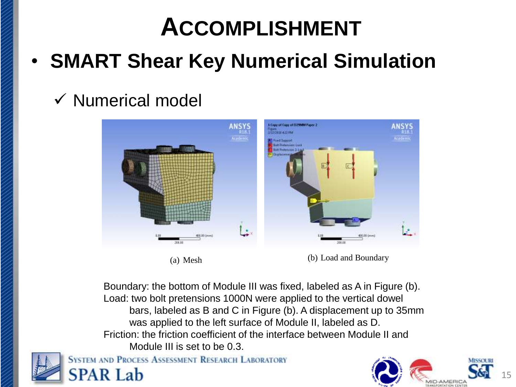## **ACCOMPLISHMENT**

### • **SMART Shear Key Numerical Simulation**

### ✓ Numerical model

![](_page_14_Figure_3.jpeg)

(a) Mesh (b) Load and Boundary

Boundary: the bottom of Module III was fixed, labeled as A in Figure (b). Load: two bolt pretensions 1000N were applied to the vertical dowel bars, labeled as B and C in Figure (b). A displacement up to 35mm was applied to the left surface of Module II, labeled as D. Friction: the friction coefficient of the interface between Module II and Module III is set to be 0.3.

![](_page_14_Picture_7.jpeg)

![](_page_14_Picture_8.jpeg)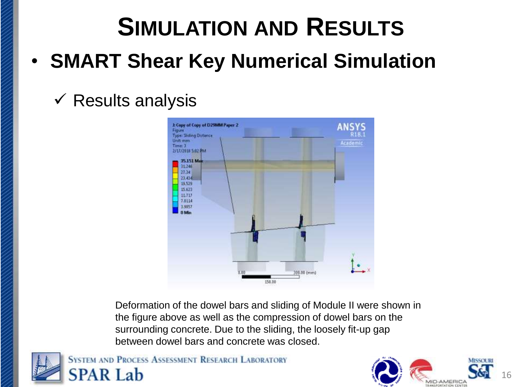# **SIMULATION AND RESULTS** • **SMART Shear Key Numerical Simulation**

### $\checkmark$  Results analysis

![](_page_15_Figure_2.jpeg)

Deformation of the dowel bars and sliding of Module II were shown in the figure above as well as the compression of dowel bars on the surrounding concrete. Due to the sliding, the loosely fit-up gap between dowel bars and concrete was closed.

![](_page_15_Picture_4.jpeg)

![](_page_15_Picture_5.jpeg)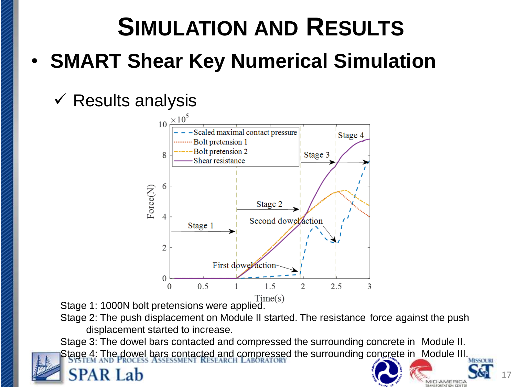# **SIMULATION AND RESULTS**

• **SMART Shear Key Numerical Simulation**

#### $\checkmark$  Results analysis

![](_page_16_Figure_3.jpeg)

Time(s)<br>Stage 1: 1000N bolt pretensions were applied.

Stage 2: The push displacement on Module II started. The resistance force against the push displacement started to increase.

Stage 3: The dowel bars contacted and compressed the surrounding concrete in Module II. Stage 4: The dowel bars contacted and compressed the surrounding concrete in Module III.

17

**IID-AMERICA**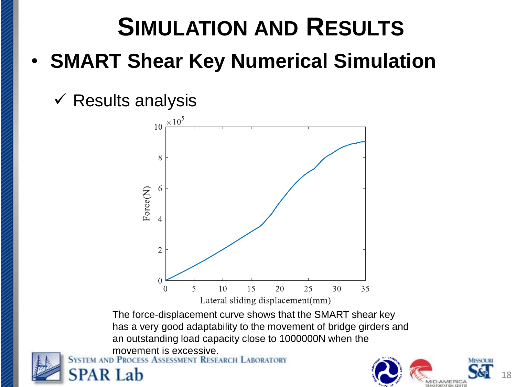# **SIMULATION AND RESULTS** • **SMART Shear Key Numerical Simulation**

 $\checkmark$  Results analysis

![](_page_17_Figure_2.jpeg)

The force-displacement curve shows that the SMART shear key has a very good adaptability to the movement of bridge girders and an outstanding load capacity close to 1000000N when the

![](_page_17_Picture_4.jpeg)

![](_page_17_Picture_5.jpeg)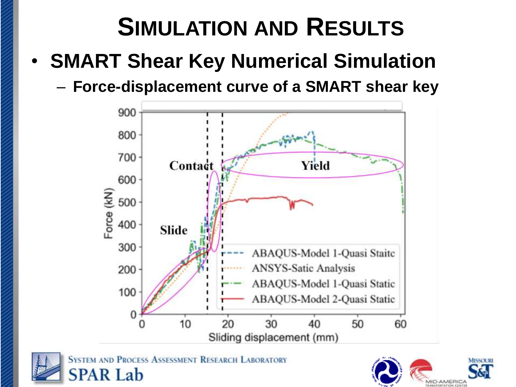# **SIMULATION AND RESULTS**

- **SMART Shear Key Numerical Simulation**
	- **Force-displacement curve of a SMART shear key**

![](_page_18_Figure_3.jpeg)

**SYSTEM AND PROCESS ASSESSMENT RESEARCH LABORATORY SPAR Lab** 

![](_page_18_Picture_5.jpeg)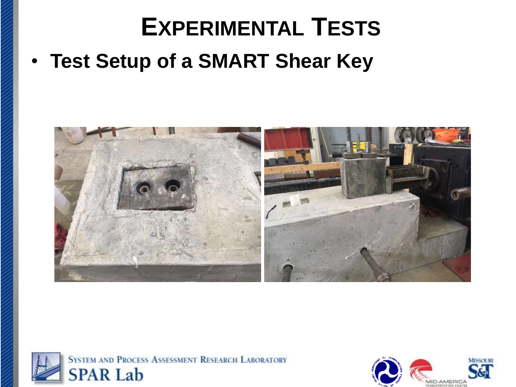## **EXPERIMENTAL TESTS**

• **Test Setup of a SMART Shear Key**

![](_page_19_Picture_2.jpeg)

![](_page_19_Picture_3.jpeg)

![](_page_19_Picture_4.jpeg)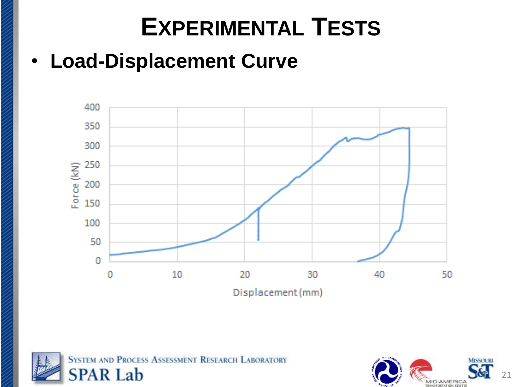# **EXPERIMENTAL TESTS**

### • **Load-Displacement Curve**

![](_page_20_Figure_2.jpeg)

![](_page_20_Picture_3.jpeg)

![](_page_20_Picture_4.jpeg)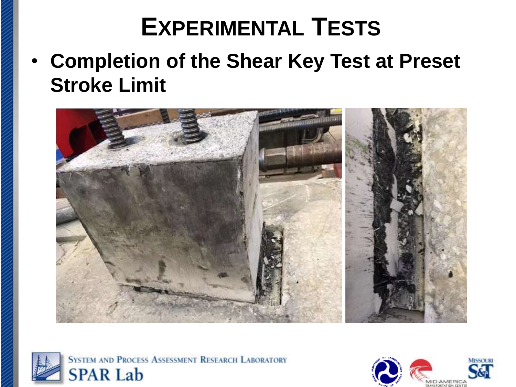# **EXPERIMENTAL TESTS**

• **Completion of the Shear Key Test at Preset Stroke Limit**

![](_page_21_Picture_2.jpeg)

![](_page_21_Picture_3.jpeg)

![](_page_21_Picture_4.jpeg)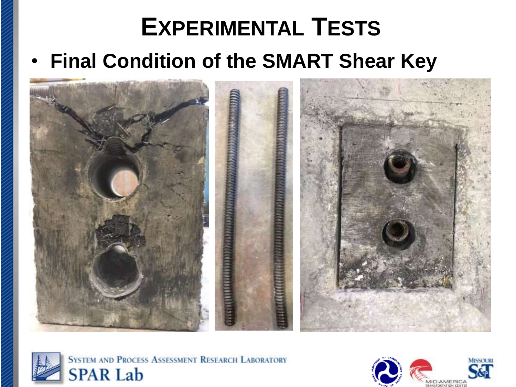# **EXPERIMENTAL TESTS** • **Final Condition of the SMART Shear Key**

![](_page_22_Picture_1.jpeg)

![](_page_22_Picture_2.jpeg)

![](_page_22_Picture_3.jpeg)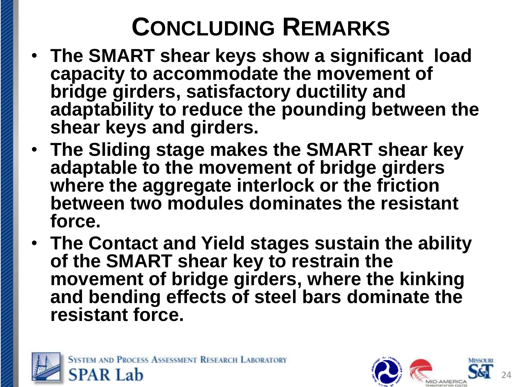# **CONCLUDING REMARKS**

- **The SMART shear keys show a significant load capacity to accommodate the movement of bridge girders, satisfactory ductility and adaptability to reduce the pounding between the shear keys and girders.**
- **The Sliding stage makes the SMART shear key adaptable to the movement of bridge girders where the aggregate interlock or the friction between two modules dominates the resistant force.**
- **The Contact and Yield stages sustain the ability of the SMART shear key to restrain the movement of bridge girders, where the kinking and bending effects of steel bars dominate the resistant force.**

![](_page_23_Picture_4.jpeg)

![](_page_23_Picture_5.jpeg)